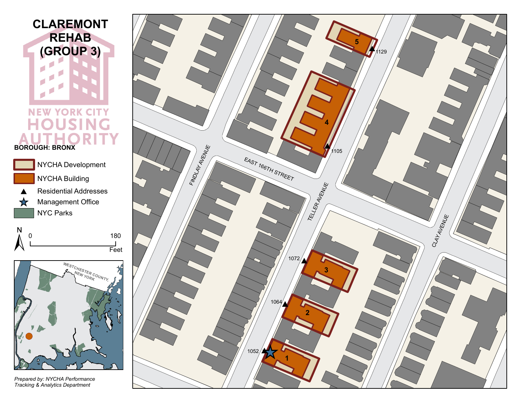

**NEW YORK CITY OUSING** н **BOROUGH: BRONX**



N 0 180 Feet



*Prepared by: NYCHA Performance Tracking & Analytics Department*